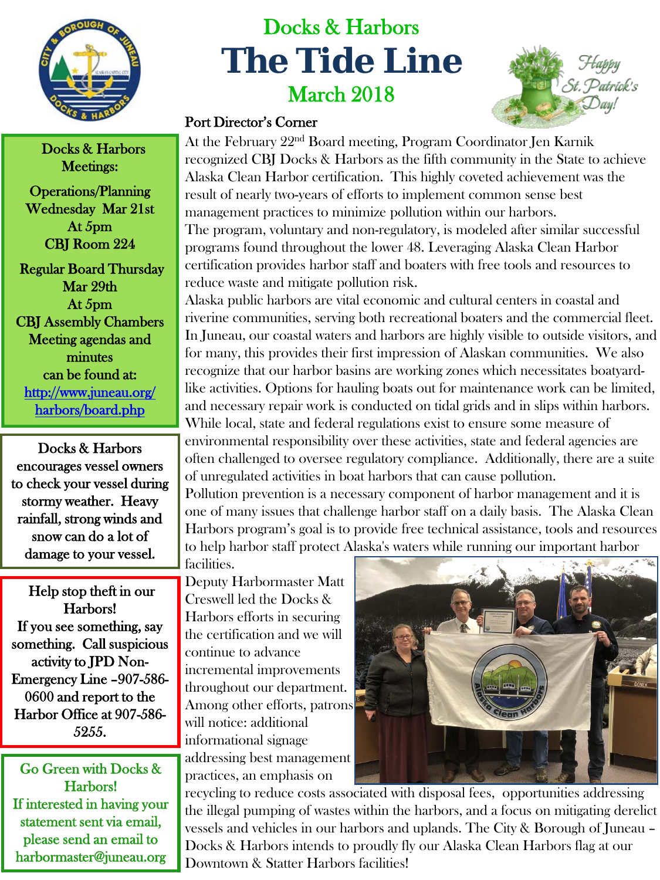

## Docks & Harbors **The Tide Line** March 2018



Docks & Harbors Meetings:

Operations/Planning Wednesday Mar 21st At 5pm CBJ Room 224

 Regular Board Thursday Mar 29th At 5pm CBJ Assembly Chambers Meeting agendas and minutes can be found at: [http://www.juneau.org/](http://www.juneau.org/harbors/board.php)  [harbors/board.php](http://www.juneau.org/harbors/board.php)

Docks & Harbors encourages vessel owners to check your vessel during stormy weather. Heavy rainfall, strong winds and snow can do a lot of damage to your vessel.

 Help stop theft in our Harbors! If you see something, say something. Call suspicious activity to JPD Non-Emergency Line –907-586- 0600 and report to the Harbor Office at 907-586- 5255.

Go Green with Docks & Harbors! If interested in having your statement sent via email, please send an email to harbormaster@juneau.org

## Port Director's Corner

At the February 22nd Board meeting, Program Coordinator Jen Karnik recognized CBJ Docks & Harbors as the fifth community in the State to achieve Alaska Clean Harbor certification. This highly coveted achievement was the result of nearly two-years of efforts to implement common sense best management practices to minimize pollution within our harbors. The program, voluntary and non-regulatory, is modeled after similar successful programs found throughout the lower 48. Leveraging Alaska Clean Harbor certification provides harbor staff and boaters with free tools and resources to reduce waste and mitigate pollution risk.

Alaska public harbors are vital economic and cultural centers in coastal and riverine communities, serving both recreational boaters and the commercial fleet. In Juneau, our coastal waters and harbors are highly visible to outside visitors, and for many, this provides their first impression of Alaskan communities. We also recognize that our harbor basins are working zones which necessitates boatyardlike activities. Options for hauling boats out for maintenance work can be limited, and necessary repair work is conducted on tidal grids and in slips within harbors. While local, state and federal regulations exist to ensure some measure of environmental responsibility over these activities, state and federal agencies are often challenged to oversee regulatory compliance. Additionally, there are a suite of unregulated activities in boat harbors that can cause pollution. Pollution prevention is a necessary component of harbor management and it is one of many issues that challenge harbor staff on a daily basis. The Alaska Clean Harbors program's goal is to provide free technical assistance, tools and resources

to help harbor staff protect Alaska's waters while running our important harbor facilities.

Deputy Harbormaster Matt Creswell led the Docks & Harbors efforts in securing the certification and we will continue to advance incremental improvements throughout our department. Among other efforts, patrons will notice: additional informational signage addressing best management practices, an emphasis on



recycling to reduce costs associated with disposal fees, opportunities addressing the illegal pumping of wastes within the harbors, and a focus on mitigating derelict vessels and vehicles in our harbors and uplands. The City & Borough of Juneau – Docks & Harbors intends to proudly fly our Alaska Clean Harbors flag at our Downtown & Statter Harbors facilities!